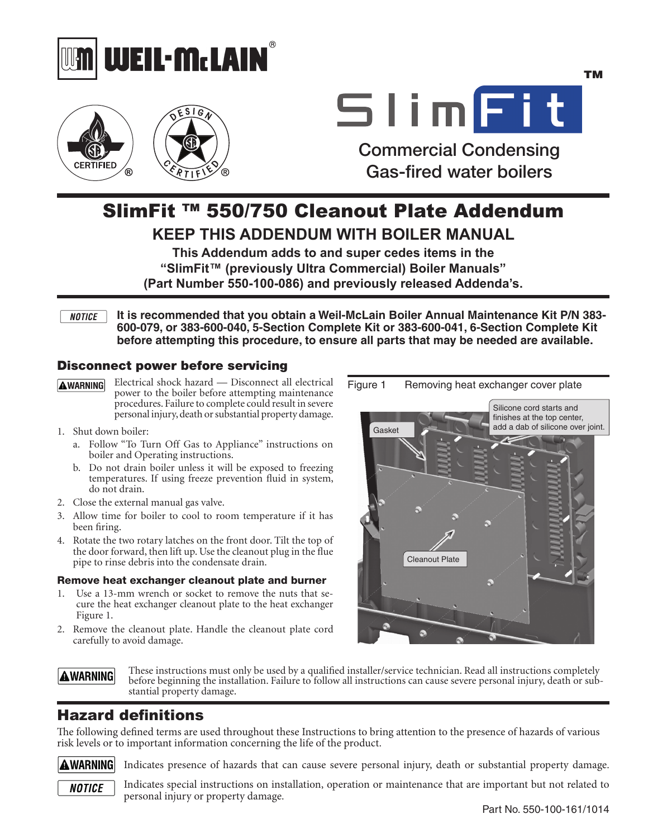



# SlimFit

TM

Gas-fired water boilers Commercial Condensing

# SlimFit ™ 550/750 Cleanout Plate Addendum

**KEEP THIS ADDENDUM WITH BOILER MANUAL**

**This Addendum adds to and super cedes items in the "SlimFit™ (previously Ultra Commercial) Boiler Manuals" (Part Number 550-100-086) and previously released Addenda's.**

**It is recommended that you obtain a Weil-McLain Boiler Annual Maintenance Kit P/N 383- NOTICE 600-079, or 383-600-040, 5-Section Complete Kit or 383-600-041, 6-Section Complete Kit before attempting this procedure, to ensure all parts that may be needed are available.** 

### Disconnect power before servicing

- Electrical shock hazard Disconnect all electrical **AWARNING** power to the boiler before attempting maintenance procedures. Failure to complete could result in severe personal injury, death or substantial property damage.
- 1. Shut down boiler:
	- a. Follow "To Turn Off Gas to Appliance" instructions on boiler and Operating instructions.
	- b. Do not drain boiler unless it will be exposed to freezing temperatures. If using freeze prevention fluid in system, do not drain.
- 2. Close the external manual gas valve.
- 3. Allow time for boiler to cool to room temperature if it has been firing.
- 4. Rotate the two rotary latches on the front door. Tilt the top of the door forward, then lift up. Use the cleanout plug in the flue pipe to rinse debris into the condensate drain.

#### Remove heat exchanger cleanout plate and burner

- 1. Use a 13-mm wrench or socket to remove the nuts that secure the heat exchanger cleanout plate to the heat exchanger Figure 1.
- 2. Remove the cleanout plate. Handle the cleanout plate cord carefully to avoid damage.



## Hazard definitions stantial property damage.

The following defined terms are used throughout these Instructions to bring attention to the presence of hazards of various risk levels or to important information concerning the life of the product.

A WARNING MAR

**AWARNING** 

Indicates presence of hazards that can cause severe personal injury, death or substantial property damage.

These instructions must only be used by a qualified installer/service technician. Read all instructions completely before beginning the installation. Failure to follow all instructions can cause severe personal injury, death or sub-

**NOTICE** 

Indicates special instructions on installation, operation or maintenance that are important but not related to personal injury or property damage.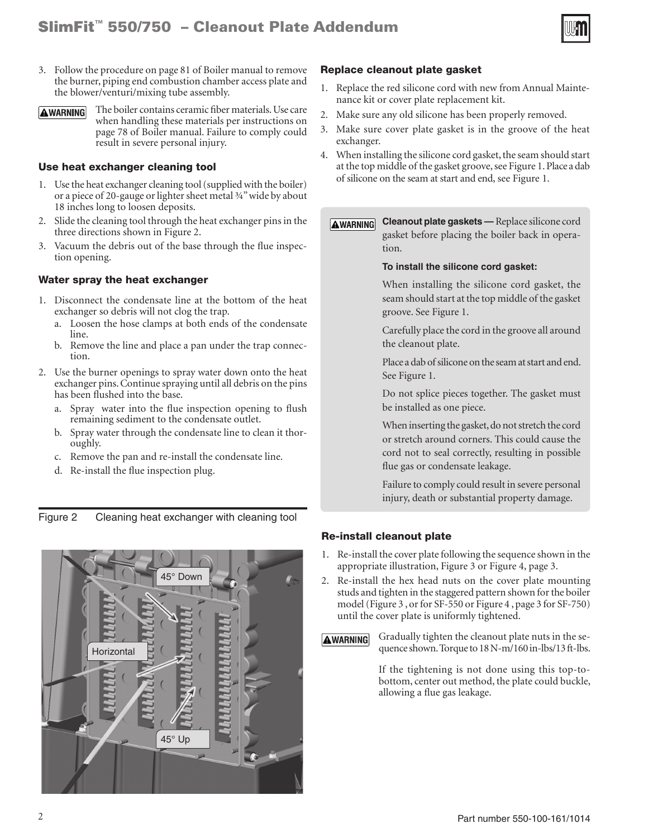

- 3. Follow the procedure on page 81 of Boiler manual to remove the burner, piping end combustion chamber access plate and the blower/venturi/mixing tube assembly.
- The boiler contains ceramic fiber materials. Use care **AWARNING** when handling these materials per instructions on page 78 of Boiler manual. Failure to comply could result in severe personal injury.

#### Use heat exchanger cleaning tool

- 1. Use the heat exchanger cleaning tool (supplied with the boiler) or a piece of 20-gauge or lighter sheet metal ¾" wide by about 18 inches long to loosen deposits.
- 2. Slide the cleaning tool through the heat exchanger pins in the three directions shown in Figure 2.
- 3. Vacuum the debris out of the base through the flue inspection opening.

#### Water spray the heat exchanger

- 1. Disconnect the condensate line at the bottom of the heat exchanger so debris will not clog the trap.
	- a. Loosen the hose clamps at both ends of the condensate line.
	- b. Remove the line and place a pan under the trap connection.
- 2. Use the burner openings to spray water down onto the heat exchanger pins. Continue spraying until all debris on the pins has been flushed into the base.
	- a. Spray water into the flue inspection opening to flush remaining sediment to the condensate outlet.
	- b. Spray water through the condensate line to clean it thoroughly.
	- c. Remove the pan and re-install the condensate line.
	- d. Re-install the flue inspection plug.

Figure 2 Cleaning heat exchanger with cleaning tool



#### Replace cleanout plate gasket

- 1. Replace the red silicone cord with new from Annual Maintenance kit or cover plate replacement kit.
- 2. Make sure any old silicone has been properly removed.
- 3. Make sure cover plate gasket is in the groove of the heat exchanger.
- 4. When installing the silicone cord gasket, the seam should start at the top middle of the gasket groove, see Figure 1. Place a dab of silicone on the seam at start and end, see Figure 1.

**Cleanout plate gaskets —** Replace silicone cord **AWARNING** gasket before placing the boiler back in operation.

#### **To install the silicone cord gasket:**

When installing the silicone cord gasket, the seam should start at the top middle of the gasket groove. See Figure 1.

Carefully place the cord in the groove all around the cleanout plate.

Place a dab of silicone on the seam at start and end. See Figure 1.

Do not splice pieces together. The gasket must be installed as one piece.

When inserting the gasket, do not stretch the cord or stretch around corners. This could cause the cord not to seal correctly, resulting in possible flue gas or condensate leakage.

Failure to comply could result in severe personal injury, death or substantial property damage.

#### Re-install cleanout plate

- 1. Re-install the cover plate following the sequence shown in the appropriate illustration, Figure 3 or Figure 4, page 3.
- 2. Re-install the hex head nuts on the cover plate mounting studs and tighten in the staggered pattern shown for the boiler model (Figure 3 , or for SF-550 or Figure 4 , page 3 for SF-750) until the cover plate is uniformly tightened.
- Gradually tighten the cleanout plate nuts in the se-**AWARNING** quence shown. Torque to 18 N-m/160 in-lbs/13 ft-lbs.

If the tightening is not done using this top-tobottom, center out method, the plate could buckle, allowing a flue gas leakage.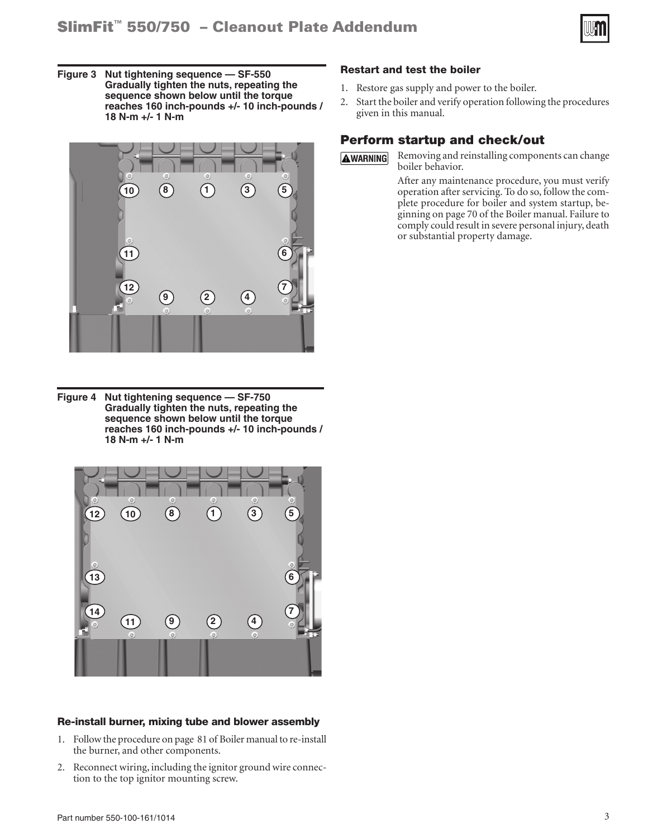

**Figure 3 Nut tightening sequence — SF-550 Gradually tighten the nuts, repeating the sequence shown below until the torque reaches 160 inch-pounds +/- 10 inch-pounds / 18 N-m +/- 1 N-m**



**Figure 4 Nut tightening sequence — SF-750 Gradually tighten the nuts, repeating the sequence shown below until the torque reaches 160 inch-pounds +/- 10 inch-pounds / 18 N-m +/- 1 N-m**



#### Re-install burner, mixing tube and blower assembly

- 1. Follow the procedure on page 81 of Boiler manual to re-install the burner, and other components.
- 2. Reconnect wiring, including the ignitor ground wire connection to the top ignitor mounting screw.

#### Restart and test the boiler

- 1. Restore gas supply and power to the boiler.
- 2. Start the boiler and verify operation following the procedures given in this manual.

#### Perform startup and check/out

**AWARNING** 

Removing and reinstalling components can change boiler behavior.

After any maintenance procedure, you must verify operation after servicing. To do so, follow the complete procedure for boiler and system startup, beginning on page 70 of the Boiler manual. Failure to comply could result in severe personal injury, death or substantial property damage.